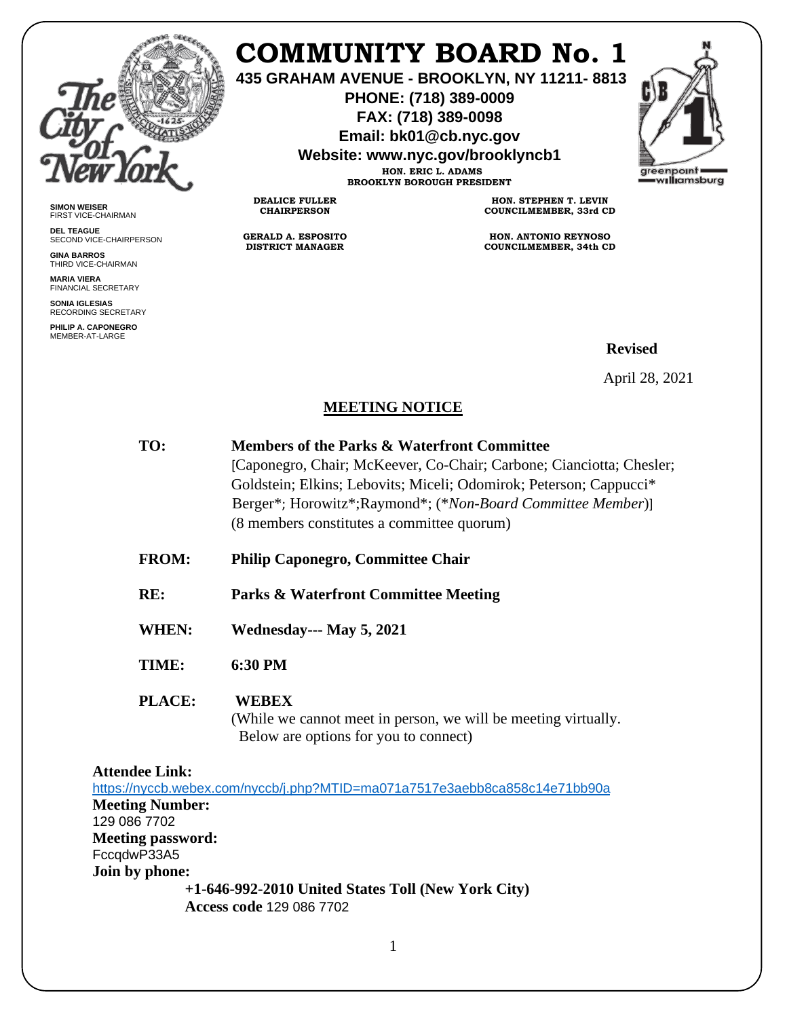

# **COMMUNITY BOARD No. 1**

**435 GRAHAM AVENUE - BROOKLYN, NY 11211- 8813**

**PHONE: (718) 389-0009 FAX: (718) 389-0098**

**Email: bk01@cb.nyc.gov**

**Website: www.nyc.gov/brooklyncb1 HON. ERIC L. ADAMS**

**BROOKLYN BOROUGH PRESIDENT**

**DEALICE FULLER CHAIRPERSON**

**GERALD A. ESPOSITO DISTRICT MANAGER**



**SIMON WEISER** FIRST VICE-CHAIRMAN

**DEL TEAGUE** SECOND VICE-CHAIRPERSON

**GINA BARROS** THIRD VICE-CHAIRMAN

**MARIA VIERA** FINANCIAL SECRETARY

**SONIA IGLESIAS** RECORDING SECRETARY

**PHILIP A. CAPONEGRO** MEMBER-AT-LARGE

**HON. STEPHEN T. LEVIN COUNCILMEMBER, 33rd CD**

**HON. ANTONIO REYNOSO COUNCILMEMBER, 34th CD**

# **Revised**

April 28, 2021

## **MEETING NOTICE**

| TO:           | <b>Members of the Parks &amp; Waterfront Committee</b>                                                  |
|---------------|---------------------------------------------------------------------------------------------------------|
|               | [Caponegro, Chair; McKeever, Co-Chair; Carbone; Cianciotta; Chesler;                                    |
|               | Goldstein; Elkins; Lebovits; Miceli; Odomirok; Peterson; Cappucci*                                      |
|               | Berger*; Horowitz*; Raymond*; (* <i>Non-Board Committee Member</i> )]                                   |
|               | (8 members constitutes a committee quorum)                                                              |
| <b>FROM:</b>  | <b>Philip Caponegro, Committee Chair</b>                                                                |
| RE:           | <b>Parks &amp; Waterfront Committee Meeting</b>                                                         |
| WHEN:         | <b>Wednesday--- May 5, 2021</b>                                                                         |
| TIME:         | 6:30 PM                                                                                                 |
| <b>PLACE:</b> | <b>WEBEX</b>                                                                                            |
|               | (While we cannot meet in person, we will be meeting virtually.<br>Below are options for you to connect) |
|               |                                                                                                         |

**Attendee Link:**

<https://nyccb.webex.com/nyccb/j.php?MTID=ma071a7517e3aebb8ca858c14e71bb90a> **Meeting Number:**  129 086 7702 **Meeting password:**  FccqdwP33A5 **Join by phone: +1-646-992-2010 United States Toll (New York City) Access code** 129 086 7702